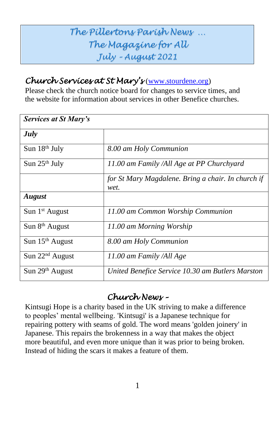## *The Pillertons Parish News … The Magazine for All July – August 2021*

## *Church Services at St Mary's* [\(www.stourdene.org\)](http://www.stourdene.org/)

Please check the church notice board for changes to service times, and the website for information about services in other Benefice churches.

| <b>Services at St Mary's</b> |                                                            |  |
|------------------------------|------------------------------------------------------------|--|
| July                         |                                                            |  |
| Sun 18th July                | 8.00 am Holy Communion                                     |  |
| Sun $25th$ July              | 11.00 am Family /All Age at PP Churchyard                  |  |
|                              | for St Mary Magdalene. Bring a chair. In church if<br>wet. |  |
| <b>August</b>                |                                                            |  |
| Sun 1 <sup>st</sup> August   | 11.00 am Common Worship Communion                          |  |
| Sun 8 <sup>th</sup> August   | 11.00 am Morning Worship                                   |  |
| Sun $15th$ August            | 8.00 am Holy Communion                                     |  |
| Sun $22nd$ August            | 11.00 am Family /All Age                                   |  |
| Sun $29th$ August            | United Benefice Service 10.30 am Butlers Marston           |  |

## *Church News –*

Kintsugi Hope is a charity based in the UK striving to make a difference to peoples' mental wellbeing. 'Kintsugi' is a Japanese technique for repairing pottery with seams of gold. The word means 'golden joinery' in Japanese. This repairs the brokenness in a way that makes the object more beautiful, and even more unique than it was prior to being broken. Instead of hiding the scars it makes a feature of them.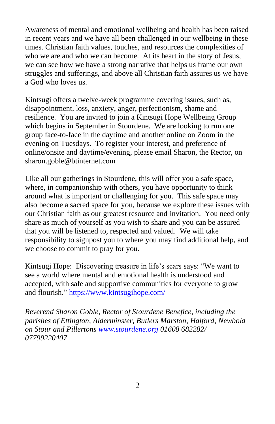Awareness of mental and emotional wellbeing and health has been raised in recent years and we have all been challenged in our wellbeing in these times. Christian faith values, touches, and resources the complexities of who we are and who we can become. At its heart in the story of Jesus, we can see how we have a strong narrative that helps us frame our own struggles and sufferings, and above all Christian faith assures us we have a God who loves us.

Kintsugi offers a twelve-week programme covering issues, such as, disappointment, loss, anxiety, anger, perfectionism, shame and resilience. You are invited to join a Kintsugi Hope Wellbeing Group which begins in September in Stourdene. We are looking to run one group face-to-face in the daytime and another online on Zoom in the evening on Tuesdays. To register your interest, and preference of online/onsite and daytime/evening, please email Sharon, the Rector, on sharon.goble@btinternet.com

Like all our gatherings in Stourdene, this will offer you a safe space, where, in companionship with others, you have opportunity to think around what is important or challenging for you. This safe space may also become a sacred space for you, because we explore these issues with our Christian faith as our greatest resource and invitation. You need only share as much of yourself as you wish to share and you can be assured that you will be listened to, respected and valued. We will take responsibility to signpost you to where you may find additional help, and we choose to commit to pray for you.

Kintsugi Hope: Discovering treasure in life's scars says: "We want to see a world where mental and emotional health is understood and accepted, with safe and supportive communities for everyone to grow and flourish." <https://www.kintsugihope.com/>

*Reverend Sharon Goble, Rector of Stourdene Benefice, including the parishes of Ettington, Alderminster, Butlers Marston, Halford, Newbold on Stour and Pillertons [www.stourdene.org](http://www.stourdene.org/) 01608 682282/ 07799220407*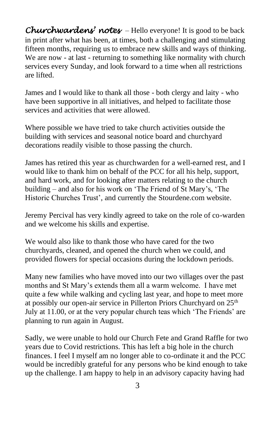*Churchwardens' notes* – Hello everyone! It is good to be back in print after what has been, at times, both a challenging and stimulating fifteen months, requiring us to embrace new skills and ways of thinking. We are now - at last - returning to something like normality with church services every Sunday, and look forward to a time when all restrictions are lifted.

James and I would like to thank all those - both clergy and laity - who have been supportive in all initiatives, and helped to facilitate those services and activities that were allowed.

Where possible we have tried to take church activities outside the building with services and seasonal notice board and churchyard decorations readily visible to those passing the church.

James has retired this year as churchwarden for a well-earned rest, and I would like to thank him on behalf of the PCC for all his help, support, and hard work, and for looking after matters relating to the church building – and also for his work on 'The Friend of St Mary's, 'The Historic Churches Trust', and currently the Stourdene.com website.

Jeremy Percival has very kindly agreed to take on the role of co-warden and we welcome his skills and expertise.

We would also like to thank those who have cared for the two churchyards, cleaned, and opened the church when we could, and provided flowers for special occasions during the lockdown periods.

Many new families who have moved into our two villages over the past months and St Mary's extends them all a warm welcome. I have met quite a few while walking and cycling last year, and hope to meet more at possibly our open-air service in Pillerton Priors Churchyard on 25<sup>th</sup> July at 11.00, or at the very popular church teas which 'The Friends' are planning to run again in August.

Sadly, we were unable to hold our Church Fete and Grand Raffle for two years due to Covid restrictions. This has left a big hole in the church finances. I feel I myself am no longer able to co-ordinate it and the PCC would be incredibly grateful for any persons who be kind enough to take up the challenge. I am happy to help in an advisory capacity having had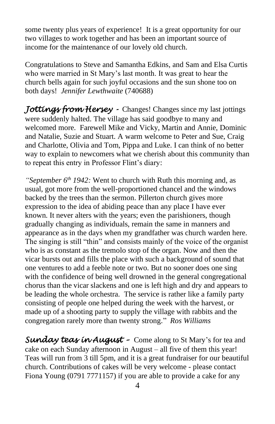some twenty plus years of experience! It is a great opportunity for our two villages to work together and has been an important source of income for the maintenance of our lovely old church.

Congratulations to Steve and Samantha Edkins, and Sam and Elsa Curtis who were married in St Mary's last month. It was great to hear the church bells again for such joyful occasions and the sun shone too on both days! *Jennifer Lewthwaite* (740688)

*Jottings from Hersey -* Changes! Changes since my last jottings were suddenly halted. The village has said goodbye to many and welcomed more. Farewell Mike and Vicky, Martin and Annie, Dominic and Natalie, Suzie and Stuart. A warm welcome to Peter and Sue, Craig and Charlotte, Olivia and Tom, Pippa and Luke. I can think of no better way to explain to newcomers what we cherish about this community than to repeat this entry in Professor Flint's diary:

*"September 6th 1942:* Went to church with Ruth this morning and, as usual, got more from the well-proportioned chancel and the windows backed by the trees than the sermon. Pillerton church gives more expression to the idea of abiding peace than any place I have ever known. It never alters with the years; even the parishioners, though gradually changing as individuals, remain the same in manners and appearance as in the days when my grandfather was church warden here. The singing is still "thin" and consists mainly of the voice of the organist who is as constant as the tremolo stop of the organ. Now and then the vicar bursts out and fills the place with such a background of sound that one ventures to add a feeble note or two. But no sooner does one sing with the confidence of being well drowned in the general congregational chorus than the vicar slackens and one is left high and dry and appears to be leading the whole orchestra. The service is rather like a family party consisting of people one helped during the week with the harvest, or made up of a shooting party to supply the village with rabbits and the congregation rarely more than twenty strong." *Ros Williams*

*Sunday teas in August –* Come along to St Mary's for tea and cake on each Sunday afternoon in August – all five of them this year! Teas will run from 3 till 5pm, and it is a great fundraiser for our beautiful church. Contributions of cakes will be very welcome - please contact Fiona Young (0791 7771157) if you are able to provide a cake for any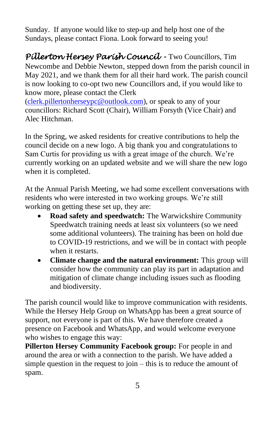Sunday. If anyone would like to step-up and help host one of the Sundays, please contact Fiona. Look forward to seeing you!

*Pillerton Hersey Parish Council -* Two Councillors, Tim Newcombe and Debbie Newton, stepped down from the parish council in May 2021, and we thank them for all their hard work. The parish council is now looking to co-opt two new Councillors and, if you would like to know more, please contact the Clerk

[\(clerk.pillertonherseypc@outlook.com\)](mailto:clerk.pillertonherseypc@outlook.com), or speak to any of your councillors: Richard Scott (Chair), William Forsyth (Vice Chair) and Alec Hitchman.

In the Spring, we asked residents for creative contributions to help the council decide on a new logo. A big thank you and congratulations to Sam Curtis for providing us with a great image of the church. We're currently working on an updated website and we will share the new logo when it is completed.

At the Annual Parish Meeting, we had some excellent conversations with residents who were interested in two working groups. We're still working on getting these set up, they are:

- **Road safety and speedwatch:** The Warwickshire Community Speedwatch training needs at least six volunteers (so we need some additional volunteers). The training has been on hold due to COVID-19 restrictions, and we will be in contact with people when it restarts.
- **Climate change and the natural environment:** This group will consider how the community can play its part in adaptation and mitigation of climate change including issues such as flooding and biodiversity.

The parish council would like to improve communication with residents. While the Hersey Help Group on WhatsApp has been a great source of support, not everyone is part of this. We have therefore created a presence on Facebook and WhatsApp, and would welcome everyone who wishes to engage this way:

**Pillerton Hersey Community Facebook group:** For people in and around the area or with a connection to the parish. We have added a simple question in the request to join – this is to reduce the amount of spam.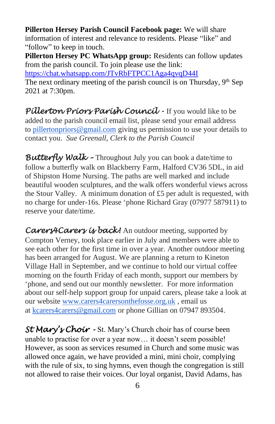**Pillerton Hersey Parish Council Facebook page:** We will share information of interest and relevance to residents. Please "like" and "follow" to keep in touch.

**Pillerton Hersey PC WhatsApp group:** Residents can follow updates from the parish council. To join please use the link:

<https://chat.whatsapp.com/JTvRbFTPCC1Aga4qvqD44I>

The next ordinary meeting of the parish council is on Thursday,  $9<sup>th</sup>$  Sep 2021 at 7:30pm.

*Pillerton Priors Parish Council -* If you would like to be added to the parish council email list, please send your email address to [pillertonpriors@gmail.com](mailto:pillertonpriors@gmail.com) giving us permission to use your details to contact you. *Sue Greenall, Clerk to the Parish Council*

*Butterfly Walk –* Throughout July you can book a date/time to follow a butterfly walk on Blackberry Farm, Halford CV36 5DL, in aid of Shipston Home Nursing. The paths are well marked and include beautiful wooden sculptures, and the walk offers wonderful views across the Stour Valley. A minimum donation of £5 per adult is requested, with no charge for under-16s. Please 'phone Richard Gray (07977 587911) to reserve your date/time.

Carers4Carers is back! An outdoor meeting, supported by Compton Verney, took place earlier in July and members were able to see each other for the first time in over a year. Another outdoor meeting has been arranged for August. We are planning a return to Kineton Village Hall in September, and we continue to hold our virtual coffee morning on the fourth Friday of each month, support our members by 'phone, and send out our monthly newsletter. For more information about our self-help support group for unpaid carers, please take a look at our website [www.carers4carersonthefosse.org.uk](http://www.carers4carersonthefosse.org.uk/) , email us at [kcarers4carers@gmail.com](mailto:kcarers4carers@gmail.com) or phone Gillian on 07947 893504.

*St Mary's Choir -* St. Mary's Church choir has of course been unable to practise for over a year now… it doesn't seem possible! However, as soon as services resumed in Church and some music was allowed once again, we have provided a mini, mini choir, complying with the rule of six, to sing hymns, even though the congregation is still not allowed to raise their voices. Our loyal organist, David Adams, has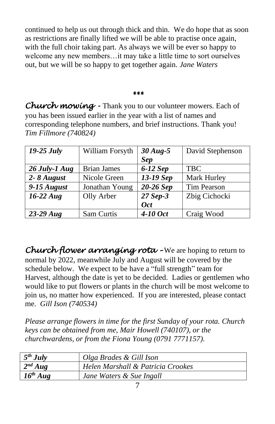continued to help us out through thick and thin. We do hope that as soon as restrictions are finally lifted we will be able to practise once again, with the full choir taking part. As always we will be ever so happy to welcome any new members…it may take a little time to sort ourselves out, but we will be so happy to get together again. *Jane Waters*

## *\*\*\**

*Church mowing -* Thank you to our volunteer mowers. Each of you has been issued earlier in the year with a list of names and corresponding telephone numbers, and brief instructions. Thank you! *Tim Fillmore (740824)*

| $19-25$ July   | William Forsyth    | $30$ Aug-5 | David Stephenson |
|----------------|--------------------|------------|------------------|
|                |                    | <b>Sep</b> |                  |
| 26 July-1 Aug  | <b>Brian James</b> | $6-12$ Sep | <b>TBC</b>       |
| $2 - 8$ August | Nicole Green       | 13-19 Sep  | Mark Hurley      |
| $9-15$ August  | Jonathan Young     | 20-26 Sep  | Tim Pearson      |
| $16-22 \, Aug$ | Olly Arber         | 27 Sep-3   | Zbig Cichocki    |
|                |                    | <b>Oct</b> |                  |
| $23-29$ Aug    | Sam Curtis         | 4-10 Oct   | Craig Wood       |

*Church flower arranging rota –* We are hoping to return to normal by 2022, meanwhile July and August will be covered by the schedule below. We expect to be have a "full strength" team for Harvest, although the date is yet to be decided. Ladies or gentlemen who would like to put flowers or plants in the church will be most welcome to join us, no matter how experienced. If you are interested, please contact me. *Gill Ison (740534)*

*Please arrange flowers in time for the first Sunday of your rota. Church keys can be obtained from me, Mair Howell (740107), or the churchwardens, or from the Fiona Young (0791 7771157).*

| $5^{th}$ July | Olga Brades & Gill Ison           |
|---------------|-----------------------------------|
| $2^{nd} Aug$  | Helen Marshall & Patricia Crookes |
| $16^{th}$ Aug | Jane Waters & Sue Ingall          |